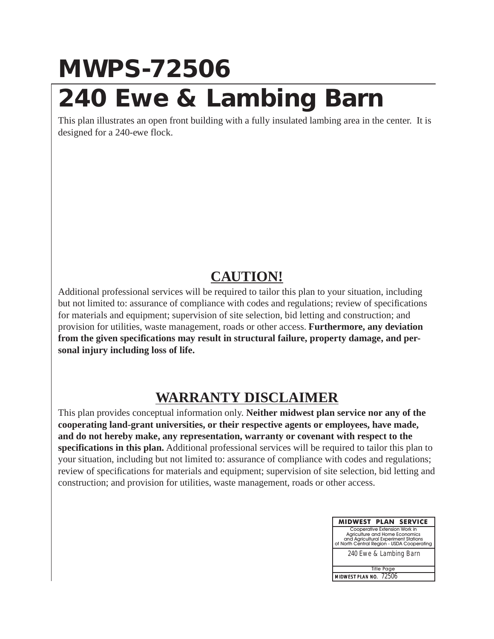## **MWPS-72506 240 Ewe & Lambing Barn**

This plan illustrates an open front building with a fully insulated lambing area in the center. It is designed for a 240-ewe flock.

## **CAUTION!**

Additional professional services will be required to tailor this plan to your situation, including but not limited to: assurance of compliance with codes and regulations; review of specifications for materials and equipment; supervision of site selection, bid letting and construction; and provision for utilities, waste management, roads or other access. **Furthermore, any deviation from the given specifications may result in structural failure, property damage, and personal injury including loss of life.**

## **WARRANTY DISCLAIMER**

This plan provides conceptual information only. **Neither midwest plan service nor any of the cooperating land-grant universities, or their respective agents or employees, have made, and do not hereby make, any representation, warranty or covenant with respect to the specifications in this plan.** Additional professional services will be required to tailor this plan to your situation, including but not limited to: assurance of compliance with codes and regulations; review of specifications for materials and equipment; supervision of site selection, bid letting and construction; and provision for utilities, waste management, roads or other access.

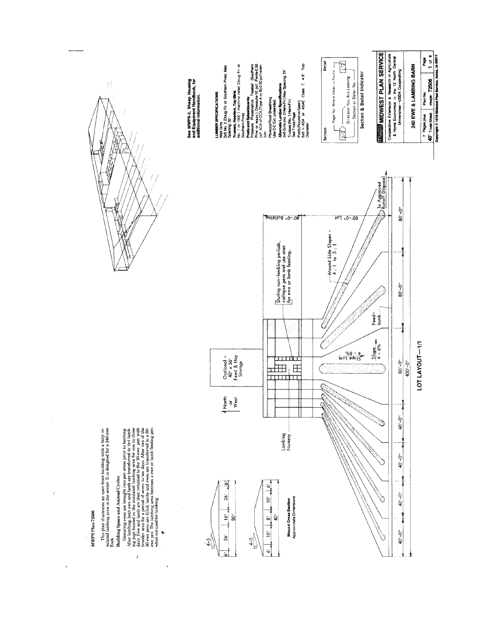

 $\overline{1}$ 

 $\mathfrak{t}$ 

 $\bar{t}$ 

ল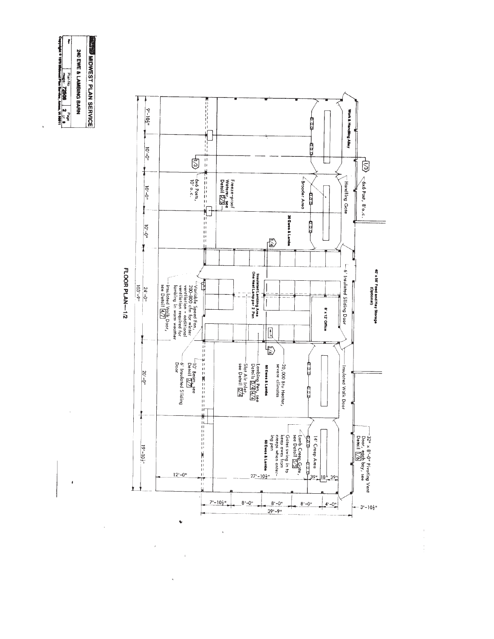

 $\overline{\phantom{a}}$ 

 $\bar{z}$ 



 $\ddot{\phantom{a}}$ 

 $\hat{\boldsymbol{\beta}}$  $\frac{1}{3}$ 

FLOOR PLAN-1/2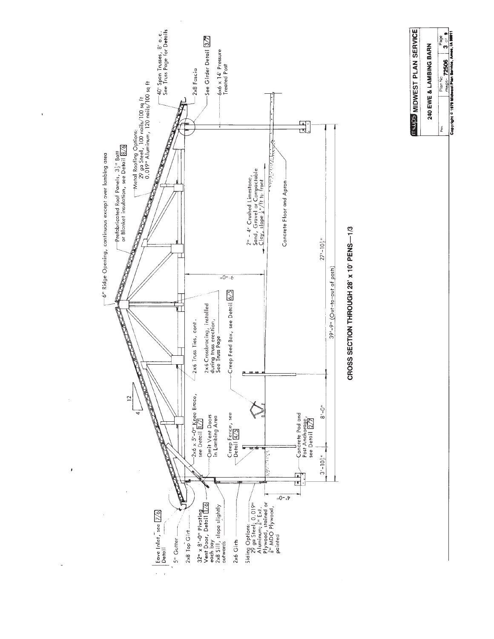



**TAUPS MIDWEST PLAN SERVICE**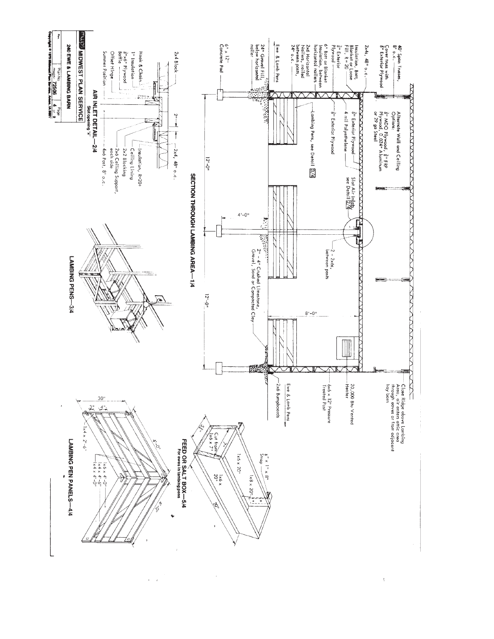

 $\mathcal{A}$ 

k.

 $\frac{1}{2}$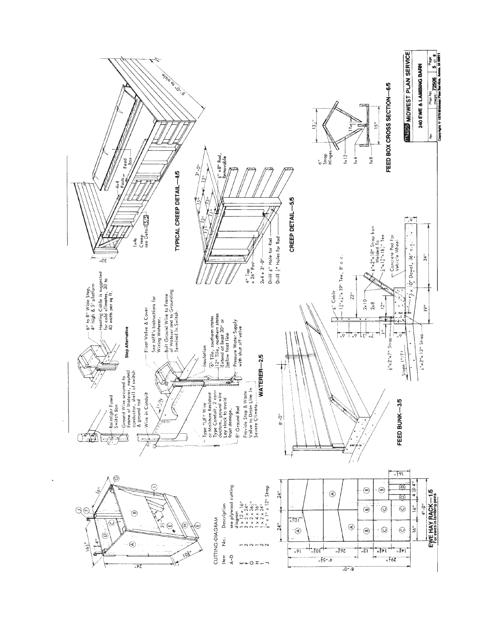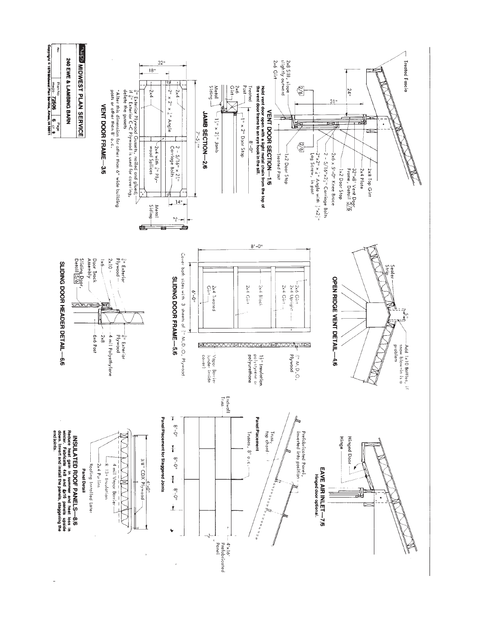